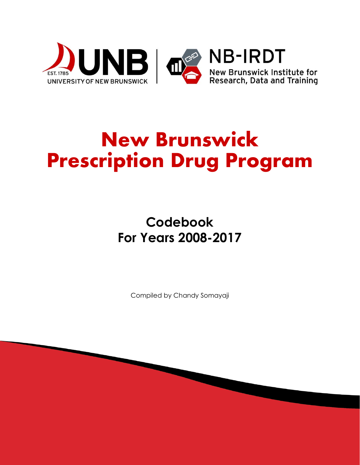

# **New Brunswick Prescription Drug Program**

**Codebook For Years 2008-2017**

Compiled by Chandy Somayaji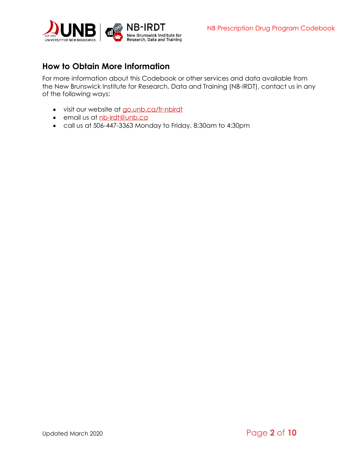

# <span id="page-1-0"></span>**How to Obtain More Information**

For more information about this Codebook or other services and data available from the New Brunswick Institute for Research, Data and Training (NB-IRDT), contact us in any of the following ways:

- visit our website at [go.unb.ca/fr-nbirdt](http://www.unb.ca/fredericton/arts/nbirdt)
- email us at [nb-irdt@unb.ca](mailto:nb-irdt@unb.ca)
- call us at 506-447-3363 Monday to Friday, 8:30am to 4:30pm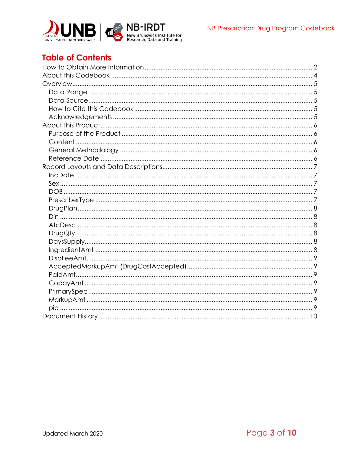

# **Table of Contents**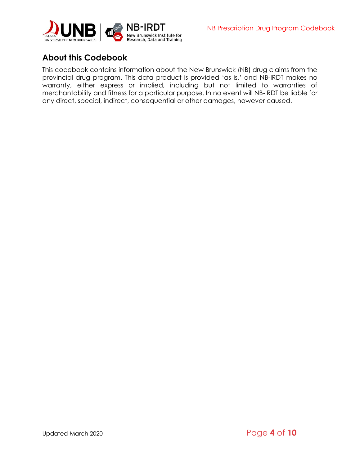



# <span id="page-3-0"></span>**About this Codebook**

This codebook contains information about the New Brunswick (NB) drug claims from the provincial drug program. This data product is provided 'as is,' and NB-IRDT makes no warranty, either express or implied, including but not limited to warranties of merchantability and fitness for a particular purpose. In no event will NB-IRDT be liable for any direct, special, indirect, consequential or other damages, however caused.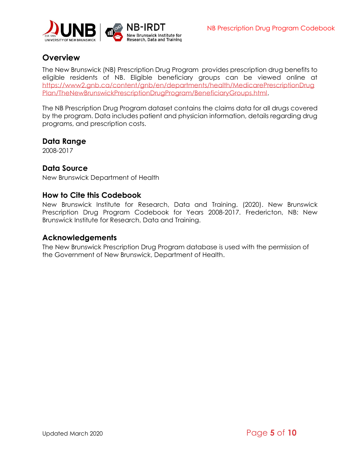

# <span id="page-4-0"></span>**Overview**

The New Brunswick (NB) Prescription Drug Program provides prescription drug benefits to eligible residents of NB. Eligible beneficiary groups can be viewed online at [https://www2.gnb.ca/content/gnb/en/departments/health/MedicarePrescriptionDrug](https://www2.gnb.ca/content/gnb/en/departments/health/MedicarePrescriptionDrugPlan/TheNewBrunswickPrescriptionDrugProgram/BeneficiaryGroups.html) [Plan/TheNewBrunswickPrescriptionDrugProgram/BeneficiaryGroups.html.](https://www2.gnb.ca/content/gnb/en/departments/health/MedicarePrescriptionDrugPlan/TheNewBrunswickPrescriptionDrugProgram/BeneficiaryGroups.html)

The NB Prescription Drug Program dataset contains the claims data for all drugs covered by the program. Data includes patient and physician information, details regarding drug programs, and prescription costs.

#### <span id="page-4-1"></span>**Data Range**

2008-2017

#### <span id="page-4-2"></span>**Data Source**

New Brunswick Department of Health

#### <span id="page-4-3"></span>**How to Cite this Codebook**

New Brunswick Institute for Research, Data and Training. (2020). New Brunswick Prescription Drug Program Codebook for Years 2008-2017. Fredericton, NB: New Brunswick Institute for Research, Data and Training.

#### <span id="page-4-4"></span>**Acknowledgements**

The New Brunswick Prescription Drug Program database is used with the permission of the Government of New Brunswick, Department of Health.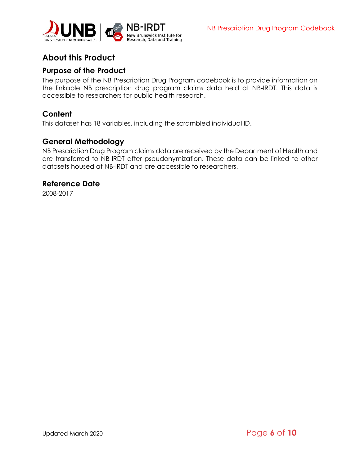

# <span id="page-5-0"></span>**About this Product**

### <span id="page-5-1"></span>**Purpose of the Product**

The purpose of the NB Prescription Drug Program codebook is to provide information on the linkable NB prescription drug program claims data held at NB-IRDT. This data is accessible to researchers for public health research.

## <span id="page-5-2"></span>**Content**

This dataset has 18 variables, including the scrambled individual ID.

## <span id="page-5-3"></span>**General Methodology**

NB Prescription Drug Program claims data are received by the Department of Health and are transferred to NB-IRDT after pseudonymization. These data can be linked to other datasets housed at NB-IRDT and are accessible to researchers.

#### <span id="page-5-4"></span>**Reference Date**

2008-2017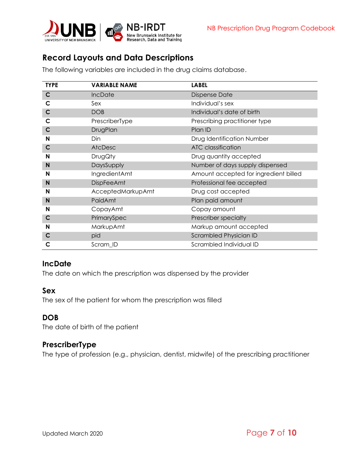

# <span id="page-6-0"></span>**Record Layouts and Data Descriptions**

| <b>TYPE</b> | <b>VARIABLE NAME</b> | <b>LABEL</b>                          |  |
|-------------|----------------------|---------------------------------------|--|
| $\mathbf C$ | IncDate              | <b>Dispense Date</b>                  |  |
| C           | Sex                  | Individual's sex                      |  |
| $\mathbf C$ | <b>DOB</b>           | Individual's date of birth            |  |
| C           | PrescriberType       | Prescribing practitioner type         |  |
| $\mathbf C$ | DrugPlan             | Plan ID                               |  |
| N           | Din                  | Drug Identification Number            |  |
| $\mathbf C$ | AtcDesc              | <b>ATC</b> classification             |  |
| N           | <b>DrugQty</b>       | Drug quantity accepted                |  |
| N           | DaysSupply           | Number of days supply dispensed       |  |
| N           | IngredientAmt        | Amount accepted for ingredient billed |  |
| N           | <b>DispFeeAmt</b>    | Professional fee accepted             |  |
| N           | AcceptedMarkupAmt    | Drug cost accepted                    |  |
| N           | PaidAmt              | Plan paid amount                      |  |
| N           | CopayAmt             | Copay amount                          |  |
| $\mathbf C$ | PrimarySpec          | Prescriber specialty                  |  |
| N           | MarkupAmt            | Markup amount accepted                |  |
| $\mathbf C$ | pid                  | Scrambled Physician ID                |  |
| C           | Scram_ID             | Scrambled Individual ID               |  |

The following variables are included in the drug claims database.

## <span id="page-6-1"></span>**IncDate**

The date on which the prescription was dispensed by the provider

#### <span id="page-6-2"></span>**Sex**

The sex of the patient for whom the prescription was filled

#### <span id="page-6-3"></span>**DOB**

The date of birth of the patient

#### <span id="page-6-4"></span>**PrescriberType**

The type of profession (e.g., physician, dentist, midwife) of the prescribing practitioner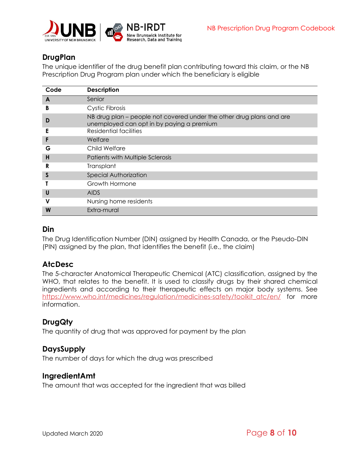

# <span id="page-7-0"></span>**DrugPlan**

The unique identifier of the drug benefit plan contributing toward this claim, or the NB Prescription Drug Program plan under which the beneficiary is eligible

| Code | <b>Description</b>                                                                                                |  |  |  |
|------|-------------------------------------------------------------------------------------------------------------------|--|--|--|
| A    | Senior                                                                                                            |  |  |  |
| B    | Cystic Fibrosis                                                                                                   |  |  |  |
| D    | NB drug plan – people not covered under the other drug plans and are<br>unemployed can opt in by paying a premium |  |  |  |
| Е    | Residential facilities                                                                                            |  |  |  |
| F    | Welfare                                                                                                           |  |  |  |
| G    | Child Welfare                                                                                                     |  |  |  |
| н    | Patients with Multiple Sclerosis                                                                                  |  |  |  |
| R    | Transplant                                                                                                        |  |  |  |
| S    | <b>Special Authorization</b>                                                                                      |  |  |  |
|      | Growth Hormone                                                                                                    |  |  |  |
| U    | <b>AIDS</b>                                                                                                       |  |  |  |
| v    | Nursing home residents                                                                                            |  |  |  |
| W    | Extra-mural                                                                                                       |  |  |  |

#### <span id="page-7-1"></span>**Din**

The Drug Identification Number (DIN) assigned by Health Canada, or the Pseudo-DIN (PIN) assigned by the plan, that identifies the benefit (i.e., the claim)

## <span id="page-7-2"></span>**AtcDesc**

The 5-character Anatomical Therapeutic Chemical (ATC) classification, assigned by the WHO, that relates to the benefit. It is used to classify drugs by their shared chemical ingredients and according to their therapeutic effects on major body systems. See [https://www.who.int/medicines/regulation/medicines-safety/toolkit\\_atc/en/](https://www.who.int/medicines/regulation/medicines-safety/toolkit_atc/en/) for more information.

# <span id="page-7-3"></span>**DrugQty**

The quantity of drug that was approved for payment by the plan

## <span id="page-7-4"></span>**DaysSupply**

The number of days for which the drug was prescribed

## <span id="page-7-5"></span>**IngredientAmt**

The amount that was accepted for the ingredient that was billed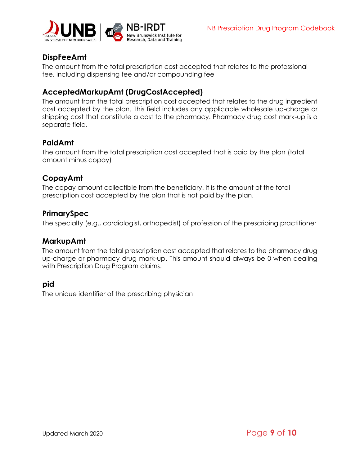

# <span id="page-8-0"></span>**DispFeeAmt**

The amount from the total prescription cost accepted that relates to the professional fee, including dispensing fee and/or compounding fee

## <span id="page-8-1"></span>**AcceptedMarkupAmt (DrugCostAccepted)**

The amount from the total prescription cost accepted that relates to the drug ingredient cost accepted by the plan. This field includes any applicable wholesale up-charge or shipping cost that constitute a cost to the pharmacy. Pharmacy drug cost mark-up is a separate field.

# <span id="page-8-2"></span>**PaidAmt**

The amount from the total prescription cost accepted that is paid by the plan (total amount minus copay)

#### <span id="page-8-3"></span>**CopayAmt**

The copay amount collectible from the beneficiary. It is the amount of the total prescription cost accepted by the plan that is not paid by the plan.

#### <span id="page-8-4"></span>**PrimarySpec**

The specialty (e.g., cardiologist, orthopedist) of profession of the prescribing practitioner

#### <span id="page-8-5"></span>**MarkupAmt**

The amount from the total prescription cost accepted that relates to the pharmacy drug up-charge or pharmacy drug mark-up. This amount should always be 0 when dealing with Prescription Drug Program claims.

#### <span id="page-8-6"></span>**pid**

The unique identifier of the prescribing physician